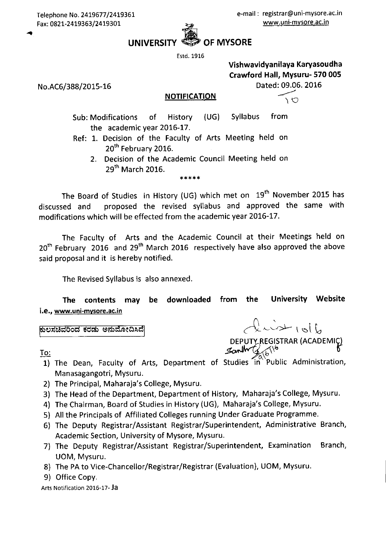No.AC6/388/2015-16

**OF MYSORE UNIVERSIT** 

Estd. 1916

Vishwavidyanilaya Karyasoudha Crawford Hall, Mysuru-570005 Dated: 09.06. 2016

ΔÓ

#### **NOTIFICATION**

**Syllabus** from **Sub: Modifications** History  $(UG)$ of the academic year 2016-17.

- Ref: 1. Decision of the Faculty of Arts Meeting held on 20<sup>th</sup> February 2016.
	- 2. Decision of the Academic Council Meeting held on 29<sup>th</sup> March 2016.

\*\*\*\*\*

The Board of Studies in History (UG) which met on 19<sup>th</sup> November 2015 has proposed the revised syllabus and approved the same with discussed and modifications which will be effected from the academic year 2016-17.

The Faculty of Arts and the Academic Council at their Meetings held on 20<sup>th</sup> February 2016 and 29<sup>th</sup> March 2016 respectively have also approved the above said proposal and it is hereby notified.

The Revised Syllabus is also annexed.

University Website be downloaded from the The contents may i.e., www.uni-mysore.ac.in

<u> ಕುಲಸಚಿವರಿಂದ ಕರಡು ಅನುಮೋದಿಸಿದೆ</u>

To:

 $24.7$ DEPUTY REGISTRAR (ACADEMIC)

- 1) The Dean, Faculty of Arts, Department of Studies in Public Administration, Manasagangotri, Mysuru.
- 2) The Principal, Maharaja's College, Mysuru.
- 3) The Head of the Department, Department of History, Maharaja's College, Mysuru.
- 4) The Chairman, Board of Studies in History (UG), Maharaja's College, Mysuru.
- 5) All the Principals of Affiliated Colleges running Under Graduate Programme.
- 6) The Deputy Registrar/Assistant Registrar/Superintendent, Administrative Branch, Academic Section, University of Mysore, Mysuru.
- 7) The Deputy Registrar/Assistant Registrar/Superintendent, Examination Branch, UOM, Mysuru.
- 8) The PA to Vice-Chancellor/Registrar/Registrar (Evaluation), UOM, Mysuru.
- 9) Office Copy.

Arts Notification 2016-17-Ja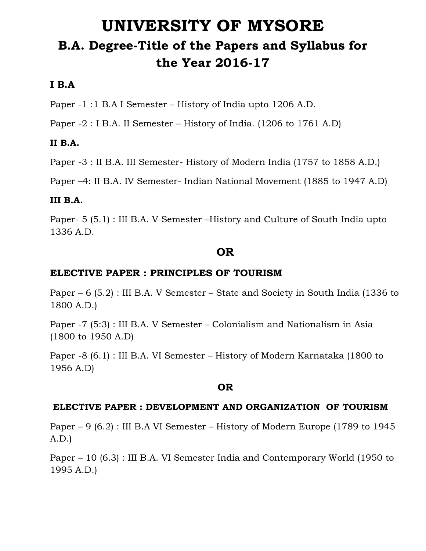# **UNIVERSITY OF MYSORE B.A. Degree-Title of the Papers and Syllabus for the Year 2016-17**

### **I B.A**

Paper -1 :1 B.A I Semester – History of India upto 1206 A.D.

Paper -2 : I B.A. II Semester – History of India. (1206 to 1761 A.D)

### **II B.A.**

Paper -3 : II B.A. III Semester- History of Modern India (1757 to 1858 A.D.)

Paper –4: II B.A. IV Semester- Indian National Movement (1885 to 1947 A.D)

#### **III B.A.**

Paper- 5 (5.1) : III B.A. V Semester –History and Culture of South India upto 1336 A.D.

# **OR**

## **ELECTIVE PAPER : PRINCIPLES OF TOURISM**

Paper – 6 (5.2) : III B.A. V Semester – State and Society in South India (1336 to 1800 A.D.)

Paper -7 (5:3) : III B.A. V Semester – Colonialism and Nationalism in Asia (1800 to 1950 A.D)

Paper -8 (6.1) : III B.A. VI Semester – History of Modern Karnataka (1800 to 1956 A.D)

#### **OR**

#### **ELECTIVE PAPER : DEVELOPMENT AND ORGANIZATION OF TOURISM**

Paper – 9 (6.2) : III B.A VI Semester – History of Modern Europe (1789 to 1945 A.D.)

Paper – 10 (6.3) : III B.A. VI Semester India and Contemporary World (1950 to 1995 A.D.)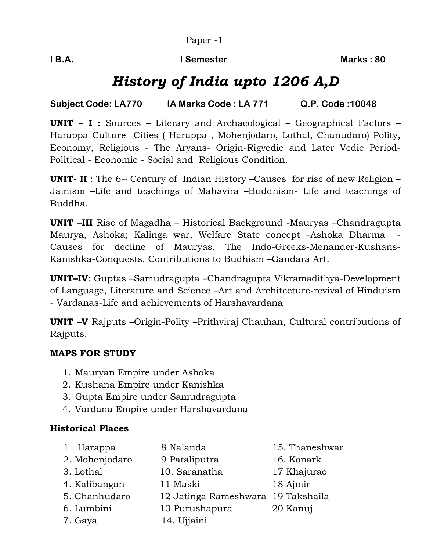**I B.A. I Semester Marks: 80** 

# *History of India upto 1206 A,D*

# **Subject Code: LA770 IA Marks Code : LA 771 Q.P. Code :10048**

**UNIT – I :** Sources – Literary and Archaeological – Geographical Factors – Harappa Culture- Cities ( Harappa , Mohenjodaro, Lothal, Chanudaro) Polity, Economy, Religious - The Aryans- Origin-Rigvedic and Later Vedic Period-Political - Economic - Social and Religious Condition.

**UNIT- II** : The 6th Century of Indian History –Causes for rise of new Religion – Jainism –Life and teachings of Mahavira –Buddhism- Life and teachings of Buddha.

**UNIT –III** Rise of Magadha – Historical Background -Mauryas –Chandragupta Maurya, Ashoka; Kalinga war, Welfare State concept –Ashoka Dharma - Causes for decline of Mauryas. The Indo-Greeks-Menander-Kushans-Kanishka-Conquests, Contributions to Budhism –Gandara Art.

**UNIT–IV**: Guptas –Samudragupta –Chandragupta Vikramadithya-Development of Language, Literature and Science –Art and Architecture-revival of Hinduism - Vardanas-Life and achievements of Harshavardana

**UNIT –V** Rajputs –Origin-Polity –Prithviraj Chauhan, Cultural contributions of Rajputs.

#### **MAPS FOR STUDY**

- 1. Mauryan Empire under Ashoka
- 2. Kushana Empire under Kanishka
- 3. Gupta Empire under Samudragupta
- 4. Vardana Empire under Harshavardana

## **Historical Places**

1 . Harappa 8 Nalanda 15. Thaneshwar 2. Mohenjodaro 9 Pataliputra 16. Konark 3. Lothal 10. Saranatha 17 Khajurao 4. Kalibangan 11 Maski 18 Ajmir 5. Chanhudaro 12 Jatinga Rameshwara 19 Takshaila 6. Lumbini 13 Purushapura 20 Kanuj 7. Gaya 14. Ujjaini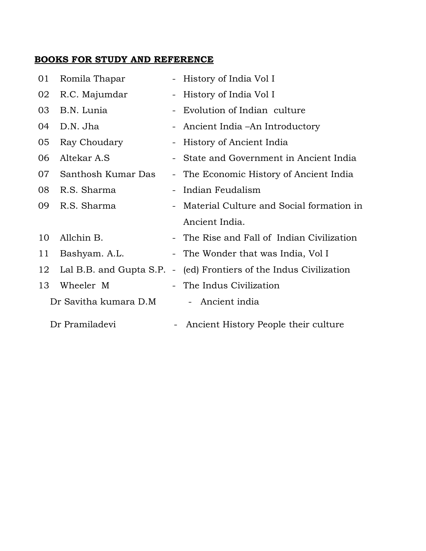| 01 | Romila Thapar           |       | - History of India Vol I                   |
|----|-------------------------|-------|--------------------------------------------|
| 02 | R.C. Majumdar           |       | - History of India Vol I                   |
| 03 | B.N. Lunia              |       | Evolution of Indian culture                |
| 04 | D.N. Jha                |       | Ancient India – An Introductory            |
| 05 | Ray Choudary            |       | - History of Ancient India                 |
| 06 | Altekar A.S             |       | - State and Government in Ancient India    |
| 07 | Santhosh Kumar Das      |       | - The Economic History of Ancient India    |
| 08 | R.S. Sharma             |       | - Indian Feudalism                         |
| 09 | R.S. Sharma             |       | - Material Culture and Social formation in |
|    |                         |       | Ancient India.                             |
| 10 | Allchin B.              |       | - The Rise and Fall of Indian Civilization |
| 11 | Bashyam. A.L.           |       | - The Wonder that was India, Vol I         |
| 12 | Lal B.B. and Gupta S.P. | $\pm$ | (ed) Frontiers of the Indus Civilization   |
| 13 | Wheeler M               |       | The Indus Civilization                     |
|    | Dr Savitha kumara D.M   |       | Ancient india<br>$\sim$                    |
|    | Dr Pramiladevi          | -     | Ancient History People their culture       |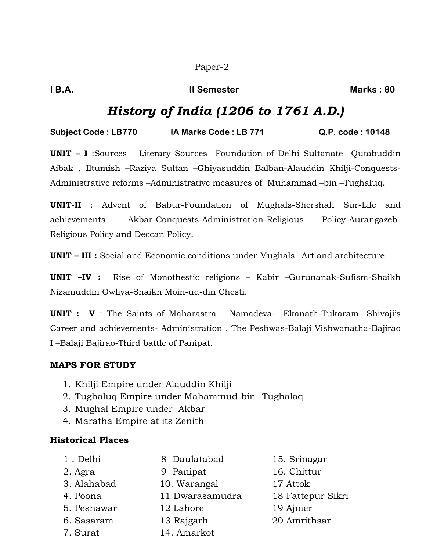**IB.A. II Semester Marks: 80** 

# *History of India (1206 to 1761 A.D.)*

**Subject Code : LB770 IA Marks Code : LB 771 Q.P. code : 10148**

**UNIT – I** :Sources – Literary Sources –Foundation of Delhi Sultanate –Qutabuddin Aibak , Iltumish –Raziya Sultan –Ghiyasuddin Balban-Alauddin Khilji-Conquests-Administrative reforms –Administrative measures of Muhammad –bin –Tughaluq.

**UNIT-II** : Advent of Babur-Foundation of Mughals-Shershah Sur-Life and achievements –Akbar-Conquests-Administration-Religious Policy-Aurangazeb-Religious Policy and Deccan Policy.

**UNIT – III :** Social and Economic conditions under Mughals –Art and architecture.

**UNIT –IV :** Rise of Monothestic religions – Kabir –Gurunanak-Sufism-Shaikh Nizamuddin Owliya-Shaikh Moin-ud-din Chesti.

**UNIT : V** : The Saints of Maharastra – Namadeva- -Ekanath-Tukaram- Shivaji's Career and achievements- Administration . The Peshwas-Balaji Vishwanatha-Bajirao I –Balaji Bajirao-Third battle of Panipat.

## **MAPS FOR STUDY**

- 1. Khilji Empire under Alauddin Khilji
- 2. Tughaluq Empire under Mahammud-bin -Tughalaq
- 3. Mughal Empire under Akbar
- 4. Maratha Empire at its Zenith

- 
- 
- 3. Alahabad 10. Warangal 17 Attok
- 
- 4. Poona 11 Dwarasamudra 18 Fattepur Sikri
- 5. Peshawar 12 Lahore 19 Ajmer
	-
- 7. Surat 14. Amarkot
- 1 . Delhi 8 Daulatabad 15. Srinagar
- 2. Agra 9 Panipat 16. Chittur
	-
	-
	-
- 6. Sasaram 13 Rajgarh 20 Amrithsar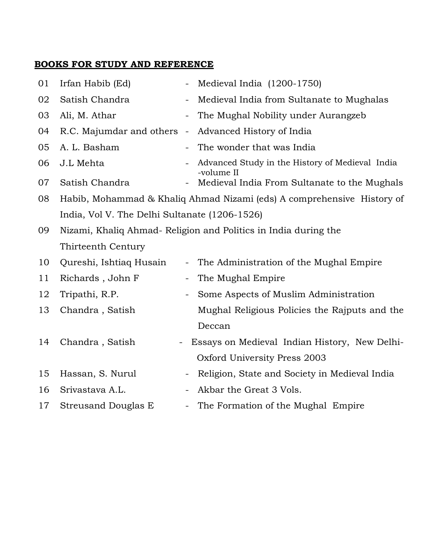| 01 | Irfan Habib (Ed)                              | $\overline{\phantom{0}}$ | Medieval India (1200-1750)                                             |
|----|-----------------------------------------------|--------------------------|------------------------------------------------------------------------|
| 02 | Satish Chandra                                | -                        | Medieval India from Sultanate to Mughalas                              |
| 03 | Ali, M. Athar                                 | $\overline{\phantom{0}}$ | The Mughal Nobility under Aurangzeb                                    |
| 04 | R.C. Majumdar and others                      | $\blacksquare$           | Advanced History of India                                              |
| 05 | A. L. Basham                                  |                          | The wonder that was India                                              |
| 06 | J.L Mehta                                     | $\overline{\phantom{0}}$ | Advanced Study in the History of Medieval India<br>-volume II          |
| 07 | Satish Chandra                                | $\overline{\phantom{0}}$ | Medieval India From Sultanate to the Mughals                           |
| 08 |                                               |                          | Habib, Mohammad & Khaliq Ahmad Nizami (eds) A comprehensive History of |
|    | India, Vol V. The Delhi Sultanate (1206-1526) |                          |                                                                        |
| 09 |                                               |                          | Nizami, Khaliq Ahmad- Religion and Politics in India during the        |
|    | Thirteenth Century                            |                          |                                                                        |
| 10 | Qureshi, Ishtiaq Husain                       | $\overline{\phantom{0}}$ | The Administration of the Mughal Empire                                |
| 11 | Richards, John F                              | -                        | The Mughal Empire                                                      |
| 12 | Tripathi, R.P.                                | $\overline{\phantom{0}}$ | Some Aspects of Muslim Administration                                  |
| 13 | Chandra, Satish                               |                          | Mughal Religious Policies the Rajputs and the                          |
|    |                                               |                          | Deccan                                                                 |
| 14 | Chandra, Satish                               |                          | Essays on Medieval Indian History, New Delhi-                          |
|    |                                               |                          | Oxford University Press 2003                                           |
| 15 | Hassan, S. Nurul                              | -                        | Religion, State and Society in Medieval India                          |
| 16 | Srivastava A.L.                               | -                        | Akbar the Great 3 Vols.                                                |
| 17 | <b>Streusand Douglas E</b>                    |                          | The Formation of the Mughal Empire                                     |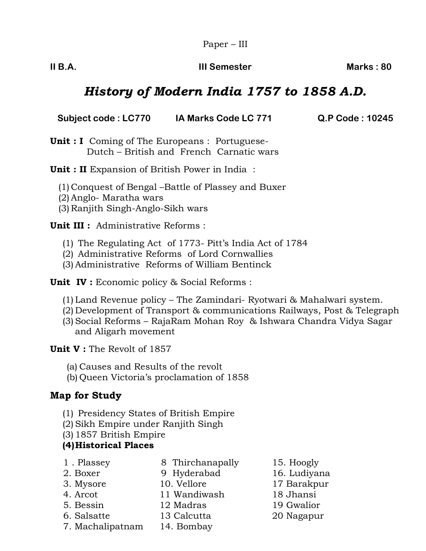#### **III B.A. III Semester Marks: 80**

# *History of Modern India 1757 to 1858 A.D.*

**Subject code : LC770 IA Marks Code LC 771 Q.P Code : 10245**

**Unit : I** Coming of The Europeans : Portuguese- Dutch – British and French Carnatic wars

**Unit : II** Expansion of British Power in India :

- (1) Conquest of Bengal –Battle of Plassey and Buxer
- (2) Anglo- Maratha wars
- (3) Ranjith Singh-Anglo-Sikh wars

**Unit III :** Administrative Reforms :

- (1) The Regulating Act of 1773- Pitt's India Act of 1784
- (2) Administrative Reforms of Lord Cornwallies
- (3) Administrative Reforms of William Bentinck

**Unit IV :** Economic policy & Social Reforms :

- (1) Land Revenue policy The Zamindari- Ryotwari & Mahalwari system.
- (2) Development of Transport & communications Railways, Post & Telegraph
- (3) Social Reforms RajaRam Mohan Roy & Ishwara Chandra Vidya Sagar and Aligarh movement

**Unit V :** The Revolt of 1857

- (a) Causes and Results of the revolt
- (b) Queen Victoria's proclamation of 1858

## **Map for Study**

- (1) Presidency States of British Empire
- (2) Sikh Empire under Ranjith Singh
- (3) 1857 British Empire
- **(4)Historical Places**
- 1 . Plassey 8 Thirchanapally 15. Hoogly
- 2. Boxer 9 Hyderabad 16. Ludiyana
- 3. Mysore 10. Vellore 17 Barakpur
- 
- 5. Bessin 12 Madras 19 Gwalior
- 6. Salsatte 13 Calcutta 20 Nagapur
- 7. Machalipatnam 14. Bombay
- 
- 
- 
- 4. Arcot 11 Wandiwash 18 Jhansi
	-
	-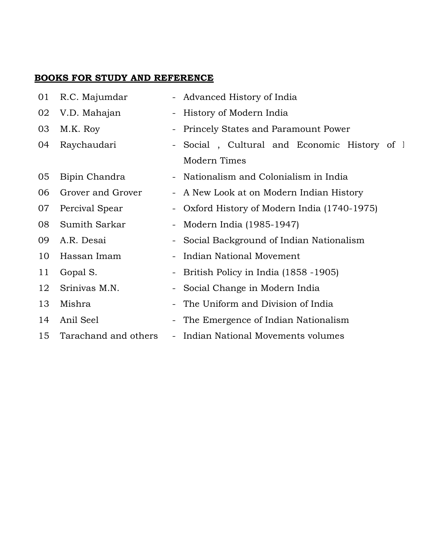| 01 | R.C. Majumdar        |                          | - Advanced History of India                |
|----|----------------------|--------------------------|--------------------------------------------|
| 02 | V.D. Mahajan         | $\overline{\phantom{a}}$ | History of Modern India                    |
| 03 | M.K. Roy             | $\overline{\phantom{a}}$ | Princely States and Paramount Power        |
| 04 | Raychaudari          | $-$                      | Social, Cultural and Economic History of 1 |
|    |                      |                          | Modern Times                               |
| 05 | Bipin Chandra        |                          | - Nationalism and Colonialism in India     |
| 06 | Grover and Grover    |                          | - A New Look at on Modern Indian History   |
| 07 | Percival Spear       | -                        | Oxford History of Modern India (1740-1975) |
| 08 | Sumith Sarkar        | $\overline{\phantom{a}}$ | Modern India (1985-1947)                   |
| 09 | A.R. Desai           |                          | Social Background of Indian Nationalism    |
| 10 | Hassan Imam          |                          | Indian National Movement                   |
| 11 | Gopal S.             | $\overline{\phantom{a}}$ | British Policy in India (1858 - 1905)      |
| 12 | Srinivas M.N.        |                          | Social Change in Modern India              |
| 13 | Mishra               |                          | The Uniform and Division of India          |
| 14 | Anil Seel            | -                        | The Emergence of Indian Nationalism        |
| 15 | Tarachand and others | $\overline{\phantom{a}}$ | Indian National Movements volumes          |
|    |                      |                          |                                            |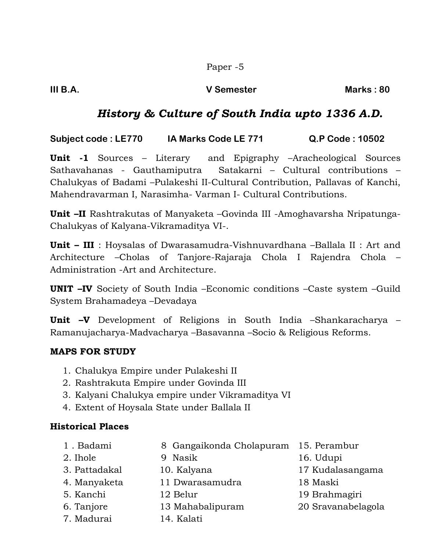#### **III B.A. V Semester Marks : 80**

# *History & Culture of South India upto 1336 A.D.*

**Subject code : LE770 IA Marks Code LE 771 Q.P Code : 10502** 

**Unit -1** Sources – Literary and Epigraphy –Aracheological Sources Sathavahanas - Gauthamiputra Satakarni – Cultural contributions – Chalukyas of Badami –Pulakeshi II-Cultural Contribution, Pallavas of Kanchi, Mahendravarman I, Narasimha- Varman I- Cultural Contributions.

**Unit –II** Rashtrakutas of Manyaketa –Govinda III -Amoghavarsha Nripatunga-Chalukyas of Kalyana-Vikramaditya VI-.

**Unit – III** : Hoysalas of Dwarasamudra-Vishnuvardhana –Ballala II : Art and Architecture –Cholas of Tanjore-Rajaraja Chola I Rajendra Chola – Administration -Art and Architecture.

**UNIT –IV** Society of South India –Economic conditions –Caste system –Guild System Brahamadeya –Devadaya

**Unit –V** Development of Religions in South India –Shankaracharya – Ramanujacharya-Madvacharya –Basavanna –Socio & Religious Reforms.

# **MAPS FOR STUDY**

- 1. Chalukya Empire under Pulakeshi II
- 2. Rashtrakuta Empire under Govinda III
- 3. Kalyani Chalukya empire under Vikramaditya VI
- 4. Extent of Hoysala State under Ballala II

- 1 . Badami 8 Gangaikonda Cholapuram 15. Perambur
- 2. Ihole 9 Nasik 16. Udupi
- 3. Pattadakal 10. Kalyana 17 Kudalasangama
- 4. Manyaketa 11 Dwarasamudra 18 Maski
- 5. Kanchi 12 Belur 19 Brahmagiri
- 6. Tanjore 13 Mahabalipuram 20 Sravanabelagola
- 7. Madurai 14. Kalati
- 
- -
- 
- 
-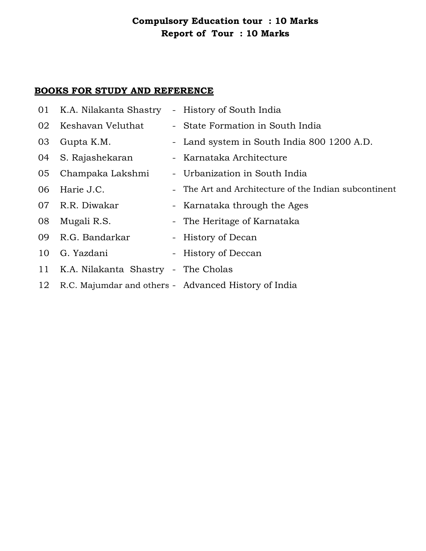# **Compulsory Education tour : 10 Marks Report of Tour : 10 Marks**

|    | 01 K.A. Nilakanta Shastry           | - History of South India                              |
|----|-------------------------------------|-------------------------------------------------------|
| 02 | Keshavan Veluthat                   | - State Formation in South India                      |
| 03 | Gupta K.M.                          | - Land system in South India 800 1200 A.D.            |
| 04 | S. Rajashekaran                     | - Karnataka Architecture                              |
| 05 | Champaka Lakshmi                    | - Urbanization in South India                         |
| 06 | Harie J.C.                          | - The Art and Architecture of the Indian subcontinent |
| 07 | R.R. Diwakar                        | - Karnataka through the Ages                          |
| 08 | Mugali R.S.                         | - The Heritage of Karnataka                           |
| 09 | R.G. Bandarkar                      | - History of Decan                                    |
| 10 | G. Yazdani                          | - History of Deccan                                   |
| 11 | K.A. Nilakanta Shastry - The Cholas |                                                       |
| 12 |                                     | R.C. Majumdar and others - Advanced History of India  |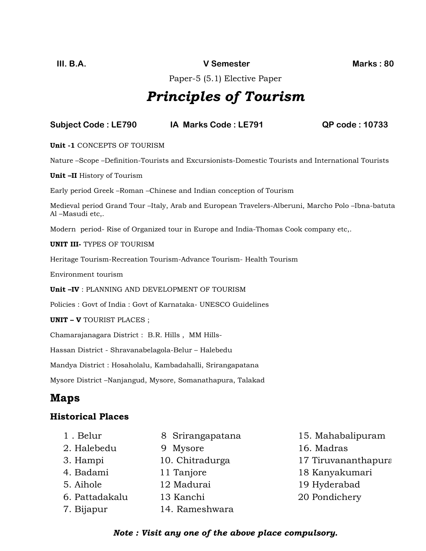**III. B.A. CONSERVIEW III. B.A. V Semester Marks** : 80

Paper-5 (5.1) Elective Paper

# *Principles of Tourism*

#### **Subject Code : LE790 IA Marks Code : LE791 QP code : 10733**

#### **Unit -1** CONCEPTS OF TOURISM

Nature –Scope –Definition-Tourists and Excursionists-Domestic Tourists and International Tourists

**Unit –II** History of Tourism

Early period Greek –Roman –Chinese and Indian conception of Tourism

Medieval period Grand Tour –Italy, Arab and European Travelers-Alberuni, Marcho Polo –Ibna-batuta Al –Masudi etc,.

Modern period- Rise of Organized tour in Europe and India-Thomas Cook company etc,.

**UNIT III-** TYPES OF TOURISM

Heritage Tourism-Recreation Tourism-Advance Tourism- Health Tourism

Environment tourism

**Unit –IV** : PLANNING AND DEVELOPMENT OF TOURISM

Policies : Govt of India : Govt of Karnataka- UNESCO Guidelines

**UNIT – V** TOURIST PLACES ;

Chamarajanagara District : B.R. Hills , MM Hills-

Hassan District - Shravanabelagola-Belur – Halebedu

Mandya District : Hosaholalu, Kambadahalli, Srirangapatana

Mysore District –Nanjangud, Mysore, Somanathapura, Talakad

# **Maps**

#### **Historical Places**

- 1 . Belur 8 Srirangapatana 15. Mahabalipuram
- 2. Halebedu 9 Mysore 16. Madras
	-
- 4. Badami 11 Tanjore 18 Kanyakumari
- 5. Aihole 12 Madurai 19 Hyderabad
- 6. Pattadakalu 13 Kanchi 20 Pondichery
- 7. Bijapur 14. Rameshwara
- 
- 
- 3. Hampi 10. Chitradurga 17 Tiruvananthapura
	-
	-
	-

#### *Note : Visit any one of the above place compulsory.*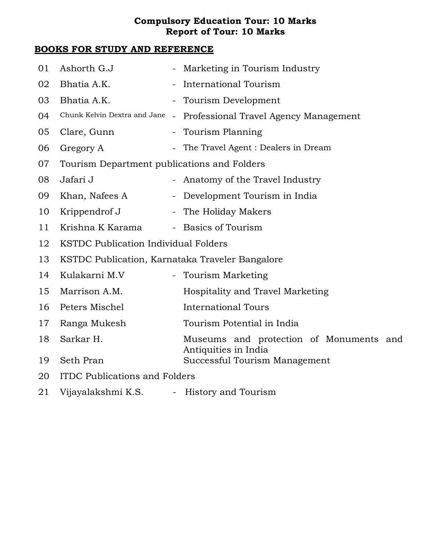## **Compulsory Education Tour: 10 Marks Report of Tour: 10 Marks**

| 01 | Ashorth G.J                                     |                          | Marketing in Tourism Industry                                   |
|----|-------------------------------------------------|--------------------------|-----------------------------------------------------------------|
| 02 | Bhatia A.K.                                     |                          | <b>International Tourism</b>                                    |
| 03 | Bhatia A.K.                                     | $\overline{\phantom{0}}$ | Tourism Development                                             |
| 04 | Chunk Kelvin Dextra and Jane -                  |                          | Professional Travel Agency Management                           |
| 05 | Clare, Gunn                                     |                          | Tourism Planning                                                |
| 06 | Gregory A                                       |                          | - The Travel Agent : Dealers in Dream                           |
| 07 | Tourism Department publications and Folders     |                          |                                                                 |
| 08 | Jafari J                                        |                          | - Anatomy of the Travel Industry                                |
| 09 | Khan, Nafees A                                  | $\sim$                   | Development Tourism in India                                    |
| 10 | Krippendrof J                                   |                          | - The Holiday Makers                                            |
| 11 | Krishna K Karama                                |                          | - Basics of Tourism                                             |
| 12 | KSTDC Publication Individual Folders            |                          |                                                                 |
| 13 | KSTDC Publication, Karnataka Traveler Bangalore |                          |                                                                 |
| 14 | Kulakarni M.V                                   |                          | <b>Tourism Marketing</b>                                        |
| 15 | Marrison A.M.                                   |                          | Hospitality and Travel Marketing                                |
| 16 | Peters Mischel                                  |                          | <b>International Tours</b>                                      |
| 17 | Ranga Mukesh                                    |                          | Tourism Potential in India                                      |
| 18 | Sarkar H.                                       |                          | Museums and protection of Monuments and<br>Antiquities in India |
| 19 | Seth Pran                                       |                          | Successful Tourism Management                                   |
| 20 | <b>ITDC Publications and Folders</b>            |                          |                                                                 |
| 21 | Vijayalakshmi K.S.                              |                          | - History and Tourism                                           |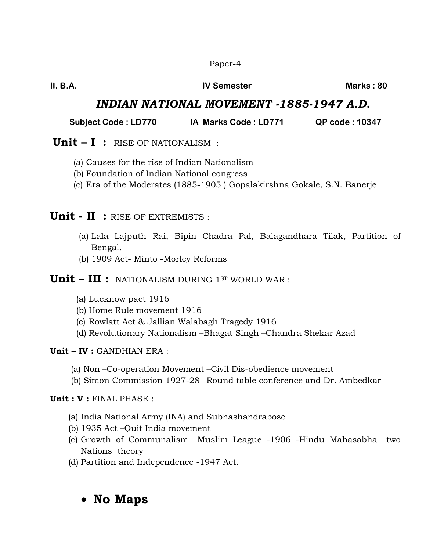**II. B.A.** Marks : 80

# *INDIAN NATIONAL MOVEMENT -1885-1947 A.D.*

**Subject Code : LD770 IA Marks Code : LD771 QP code : 10347** 

**Unit – I :** RISE OF NATIONALISM :

- (a) Causes for the rise of Indian Nationalism
- (b) Foundation of Indian National congress
- (c) Era of the Moderates (1885-1905 ) Gopalakirshna Gokale, S.N. Banerje

**Unit - II :** RISE OF EXTREMISTS :

- (a) Lala Lajputh Rai, Bipin Chadra Pal, Balagandhara Tilak, Partition of Bengal.
- (b) 1909 Act- Minto -Morley Reforms

# **Unit – III :** NATIONALISM DURING 1ST WORLD WAR :

- (a) Lucknow pact 1916
- (b) Home Rule movement 1916
- (c) Rowlatt Act & Jallian Walabagh Tragedy 1916
- (d) Revolutionary Nationalism –Bhagat Singh –Chandra Shekar Azad

#### **Unit – IV :** GANDHIAN ERA :

- (a) Non –Co-operation Movement –Civil Dis-obedience movement
- (b) Simon Commission 1927-28 –Round table conference and Dr. Ambedkar

#### **Unit : V :** FINAL PHASE :

- (a) India National Army (INA) and Subhashandrabose
- (b) 1935 Act –Quit India movement
- (c) Growth of Communalism –Muslim League -1906 -Hindu Mahasabha –two Nations theory
- (d) Partition and Independence -1947 Act.

• **No Maps**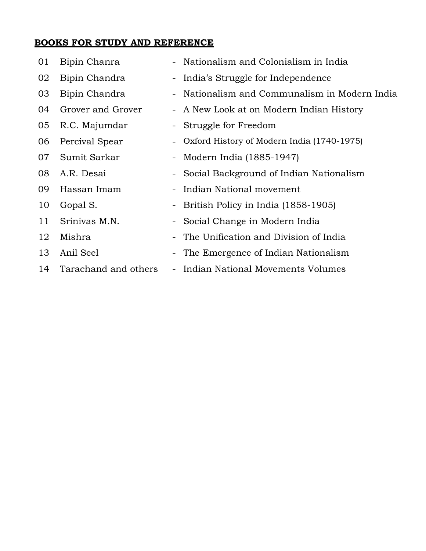| 01 | Bipin Chanra         |                          | Nationalism and Colonialism in India        |
|----|----------------------|--------------------------|---------------------------------------------|
| 02 | Bipin Chandra        | $\overline{\phantom{a}}$ | India's Struggle for Independence           |
| 03 | Bipin Chandra        |                          | Nationalism and Communalism in Modern India |
| 04 | Grover and Grover    | -                        | A New Look at on Modern Indian History      |
| 05 | R.C. Majumdar        | $\overline{\phantom{a}}$ | Struggle for Freedom                        |
| 06 | Percival Spear       | $\overline{\phantom{a}}$ | Oxford History of Modern India (1740-1975)  |
| 07 | Sumit Sarkar         | -                        | Modern India (1885-1947)                    |
| 08 | A.R. Desai           | $\overline{\phantom{a}}$ | Social Background of Indian Nationalism     |
| 09 | Hassan Imam          |                          | Indian National movement                    |
| 10 | Gopal S.             | $\overline{\phantom{a}}$ | British Policy in India (1858-1905)         |
| 11 | Srinivas M.N.        | $-$                      | Social Change in Modern India               |
| 12 | Mishra               |                          | The Unification and Division of India       |
| 13 | Anil Seel            | $\overline{\phantom{a}}$ | The Emergence of Indian Nationalism         |
| 14 | Tarachand and others | $\qquad \qquad -$        | <b>Indian National Movements Volumes</b>    |
|    |                      |                          |                                             |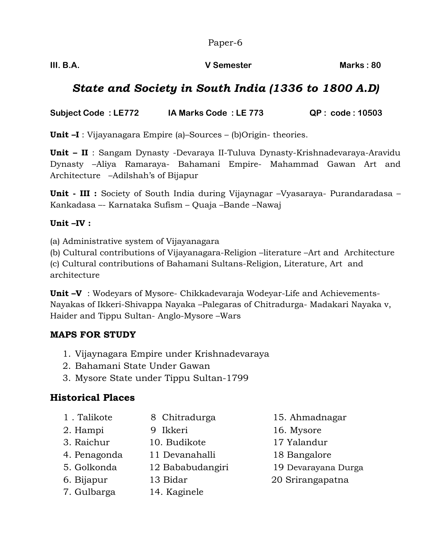**III. B.A.** Marks : 80

# *State and Society in South India (1336 to 1800 A.D)*

**Subject Code : LE772 IA Marks Code : LE 773 QP : code : 10503**

**Unit –I** : Vijayanagara Empire (a)–Sources – (b)Origin- theories.

**Unit – II** : Sangam Dynasty -Devaraya II-Tuluva Dynasty-Krishnadevaraya-Aravidu Dynasty –Aliya Ramaraya- Bahamani Empire- Mahammad Gawan Art and Architecture –Adilshah's of Bijapur

**Unit - III :** Society of South India during Vijaynagar –Vyasaraya- Purandaradasa – Kankadasa –- Karnataka Sufism – Quaja –Bande –Nawaj

#### **Unit –IV :**

(a) Administrative system of Vijayanagara

(b) Cultural contributions of Vijayanagara-Religion –literature –Art and Architecture

(c) Cultural contributions of Bahamani Sultans-Religion, Literature, Art and architecture

**Unit –V** : Wodeyars of Mysore- Chikkadevaraja Wodeyar-Life and Achievements-Nayakas of Ikkeri-Shivappa Nayaka –Palegaras of Chitradurga- Madakari Nayaka v, Haider and Tippu Sultan- Anglo-Mysore –Wars

## **MAPS FOR STUDY**

- 1. Vijaynagara Empire under Krishnadevaraya
- 2. Bahamani State Under Gawan
- 3. Mysore State under Tippu Sultan-1799

- 1 . Talikote 8 Chitradurga 15. Ahmadnagar
- 2. Hampi 9 Ikkeri 16. Mysore
- 3. Raichur 10. Budikote 17 Yalandur
- 4. Penagonda 11 Devanahalli 18 Bangalore
- 5. Golkonda 12 Bababudangiri 19 Devarayana Durga
- 6. Bijapur 13 Bidar 20 Srirangapatna
- 7. Gulbarga 14. Kaginele
- 
- 
- 
- 
- 
-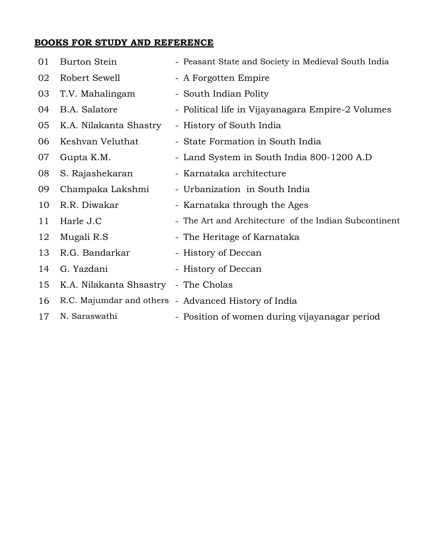| 01 | Burton Stein                         | - Peasant State and Society in Medieval South India   |
|----|--------------------------------------|-------------------------------------------------------|
| 02 | Robert Sewell                        | - A Forgotten Empire                                  |
| 03 | T.V. Mahalingam                      | - South Indian Polity                                 |
| 04 | B.A. Salatore                        | - Political life in Vijayanagara Empire-2 Volumes     |
| 05 | K.A. Nilakanta Shastry               | - History of South India                              |
| 06 | Keshvan Veluthat                     | - State Formation in South India                      |
| 07 | Gupta K.M.                           | - Land System in South India 800-1200 A.D             |
| 08 | S. Rajashekaran                      | - Karnataka architecture                              |
| 09 | Champaka Lakshmi                     | - Urbanization in South India                         |
| 10 | R.R. Diwakar                         | - Karnataka through the Ages                          |
| 11 | Harle J.C                            | - The Art and Architecture of the Indian Subcontinent |
| 12 | Mugali R.S                           | - The Heritage of Karnataka                           |
| 13 | R.G. Bandarkar                       | - History of Deccan                                   |
| 14 | G. Yazdani                           | - History of Deccan                                   |
| 15 | K.A. Nilakanta Shsastry - The Cholas |                                                       |
| 16 |                                      | R.C. Majumdar and others - Advanced History of India  |
| 17 | N. Saraswathi                        | - Position of women during vijayanagar period         |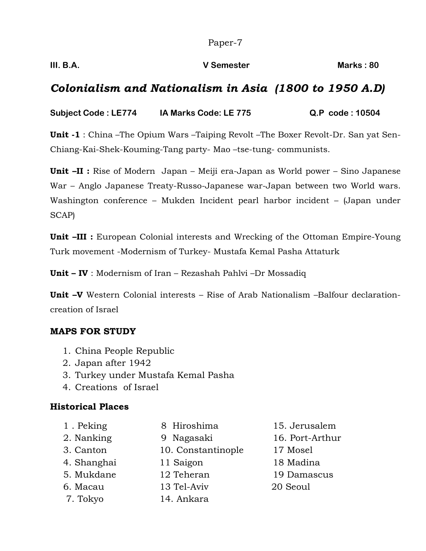**III. B.A.** Marks : 80

# *Colonialism and Nationalism in Asia (1800 to 1950 A.D)*

**Subject Code : LE774 IA Marks Code: LE 775 Q.P code : 10504**

**Unit -1** : China –The Opium Wars –Taiping Revolt –The Boxer Revolt-Dr. San yat Sen-Chiang-Kai-Shek-Kouming-Tang party- Mao –tse-tung- communists.

**Unit –II :** Rise of Modern Japan – Meiji era-Japan as World power – Sino Japanese War – Anglo Japanese Treaty-Russo-Japanese war-Japan between two World wars. Washington conference – Mukden Incident pearl harbor incident – (Japan under SCAP)

**Unit –III :** European Colonial interests and Wrecking of the Ottoman Empire-Young Turk movement -Modernism of Turkey- Mustafa Kemal Pasha Attaturk

**Unit – IV** : Modernism of Iran – Rezashah Pahlvi –Dr Mossadiq

**Unit –V** Western Colonial interests – Rise of Arab Nationalism –Balfour declarationcreation of Israel

#### **MAPS FOR STUDY**

- 1. China People Republic
- 2. Japan after 1942
- 3. Turkey under Mustafa Kemal Pasha
- 4. Creations of Israel

- 
- 
- 
- 
- 3. Canton 10. Constantinople 17 Mosel
- 4. Shanghai 11 Saigon 18 Madina
- 5. Mukdane 12 Teheran 19 Damascus
- 6. Macau 13 Tel-Aviv 20 Seoul
- 7. Tokyo 14. Ankara
- 1 . Peking 8 Hiroshima 15. Jerusalem
- 2. Nanking 9 Nagasaki 16. Port-Arthur
	-
	-
	-
	-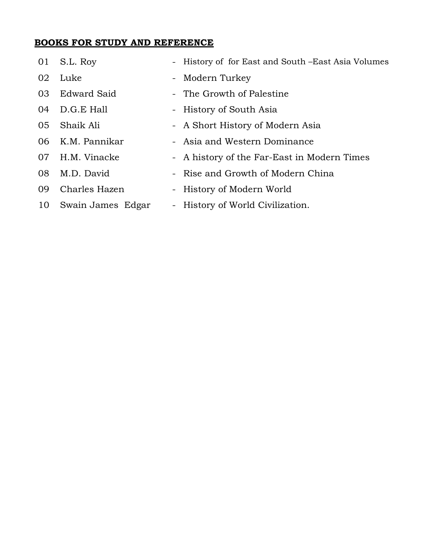- 
- 
- 
- 
- 
- 
- 
- 
- 
- 
- 01 S.L. Roy History of for East and South –East Asia Volumes
- 02 Luke Modern Turkey
- 03 Edward Said The Growth of Palestine
- 04 D.G.E Hall History of South Asia
- 05 Shaik Ali A Short History of Modern Asia
- 06 K.M. Pannikar Asia and Western Dominance
- 07 H.M. Vinacke A history of the Far-East in Modern Times
- 08 M.D. David Rise and Growth of Modern China
- 09 Charles Hazen History of Modern World
- 10 Swain James Edgar History of World Civilization.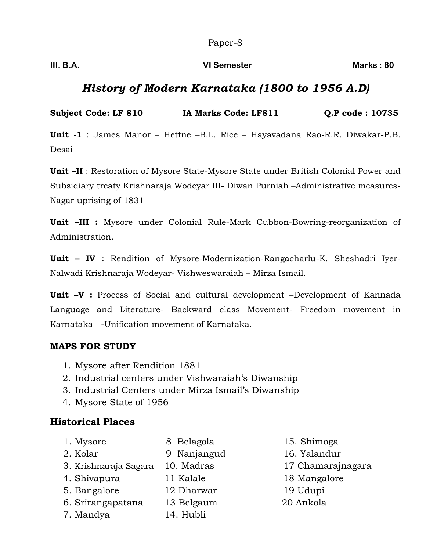**III. B.A.** Marks : 80

# *History of Modern Karnataka (1800 to 1956 A.D)*

**Subject Code: LF 810 IA Marks Code: LF811 Q.P code : 10735**

**Unit -1** : James Manor – Hettne –B.L. Rice – Hayavadana Rao-R.R. Diwakar-P.B. Desai

**Unit –II** : Restoration of Mysore State-Mysore State under British Colonial Power and Subsidiary treaty Krishnaraja Wodeyar III- Diwan Purniah –Administrative measures-Nagar uprising of 1831

**Unit –III :** Mysore under Colonial Rule-Mark Cubbon-Bowring-reorganization of Administration.

**Unit – IV** : Rendition of Mysore-Modernization-Rangacharlu-K. Sheshadri Iyer-Nalwadi Krishnaraja Wodeyar- Vishweswaraiah – Mirza Ismail.

**Unit -V** : Process of Social and cultural development -Development of Kannada Language and Literature- Backward class Movement- Freedom movement in Karnataka -Unification movement of Karnataka.

#### **MAPS FOR STUDY**

- 1. Mysore after Rendition 1881
- 2. Industrial centers under Vishwaraiah's Diwanship
- 3. Industrial Centers under Mirza Ismail's Diwanship
- 4. Mysore State of 1956

- 1. Mysore 8 Belagola 15. Shimoga
- 2. Kolar 9 Nanjangud 16. Yalandur
- 3. Krishnaraja Sagara 10. Madras 17 Chamarajnagara
- 4. Shivapura 11 Kalale 18 Mangalore
- 5. Bangalore 12 Dharwar 19 Udupi
- 6. Srirangapatana 13 Belgaum 20 Ankola
- 7. Mandya 14. Hubli
- 
-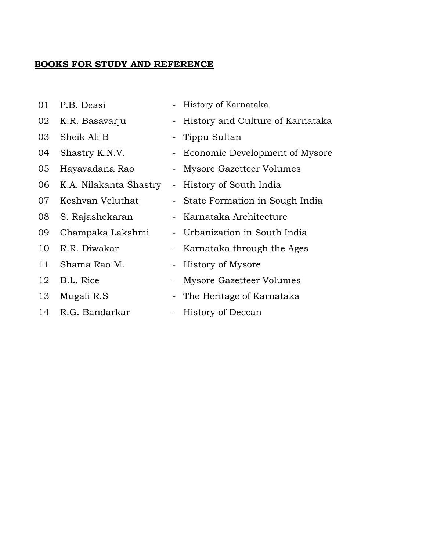| 01 | P.B. Deasi             |                          | History of Karnataka             |
|----|------------------------|--------------------------|----------------------------------|
| 02 | K.R. Basavarju         | $\sim$                   | History and Culture of Karnataka |
| 03 | Sheik Ali B            |                          | - Tippu Sultan                   |
| 04 | Shastry K.N.V.         | -                        | Economic Development of Mysore   |
| 05 | Hayavadana Rao         | Ξ.                       | Mysore Gazetteer Volumes         |
| 06 | K.A. Nilakanta Shastry |                          | - History of South India         |
| 07 | Keshvan Veluthat       | $\overline{\phantom{0}}$ | State Formation in Sough India   |
| 08 | S. Rajashekaran        | -                        | Karnataka Architecture           |
| 09 | Champaka Lakshmi       |                          | - Urbanization in South India    |
| 10 | R.R. Diwakar           | $-$                      | Karnataka through the Ages       |
| 11 | Shama Rao M.           | $\overline{\phantom{0}}$ | History of Mysore                |
| 12 | B.L. Rice              | -                        | Mysore Gazetteer Volumes         |
| 13 | Mugali R.S             |                          | The Heritage of Karnataka        |
| 14 | R.G. Bandarkar         | $\overline{\phantom{0}}$ | History of Deccan                |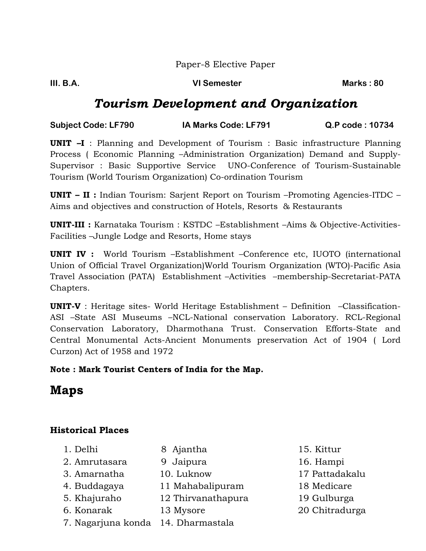Paper-8 Elective Paper

**III. B.A.** Marks : 80

# *Tourism Development and Organization*

| <b>Subject Code: LF790</b> | IA Marks Code: LF791 | Q.P code: 10734 |
|----------------------------|----------------------|-----------------|
|                            |                      |                 |

**UNIT –I** : Planning and Development of Tourism : Basic infrastructure Planning Process ( Economic Planning –Administration Organization) Demand and Supply-Supervisor : Basic Supportive Service UNO-Conference of Tourism-Sustainable Tourism (World Tourism Organization) Co-ordination Tourism

**UNIT – II :** Indian Tourism: Sarjent Report on Tourism –Promoting Agencies-ITDC – Aims and objectives and construction of Hotels, Resorts & Restaurants

**UNIT-III :** Karnataka Tourism : KSTDC –Establishment –Aims & Objective-Activities-Facilities –Jungle Lodge and Resorts, Home stays

**UNIT IV :** World Tourism –Establishment –Conference etc, IUOTO (international Union of Official Travel Organization)World Tourism Organization (WTO)-Pacific Asia Travel Association (PATA) Establishment –Activities –membership-Secretariat-PATA Chapters.

**UNIT-V** : Heritage sites- World Heritage Establishment – Definition –Classification-ASI –State ASI Museums –NCL-National conservation Laboratory. RCL-Regional Conservation Laboratory, Dharmothana Trust. Conservation Efforts-State and Central Monumental Acts-Ancient Monuments preservation Act of 1904 ( Lord Curzon) Act of 1958 and 1972

#### **Note : Mark Tourist Centers of India for the Map.**

# **Maps**

- 
- 1. Delhi 8 Ajantha 15. Kittur
- 2. Amrutasara 9 Jaipura 16. Hampi
	-
- 4. Buddagaya 11 Mahabalipuram 18 Medicare
- 
- 5. Khajuraho 12 Thirvanathapura 19 Gulburga
- 6. Konarak 13 Mysore 20 Chitradurga
- 7. Nagarjuna konda 14. Dharmastala
- 
- 3. Amarnatha 10. Luknow 17 Pattadakalu
	-
	-
	-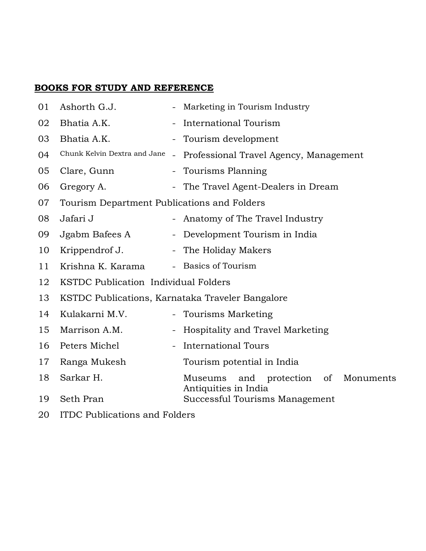| 01 | Ashorth G.J.                                        |                          | Marketing in Tourism Industry                                     |
|----|-----------------------------------------------------|--------------------------|-------------------------------------------------------------------|
| 02 | Bhatia A.K.                                         |                          | <b>International Tourism</b>                                      |
| 03 | Bhatia A.K.                                         | $\overline{\phantom{a}}$ | Tourism development                                               |
| 04 | Chunk Kelvin Dextra and Jane<br>$\bar{\phantom{a}}$ |                          | Professional Travel Agency, Management                            |
| 05 | Clare, Gunn                                         |                          | Tourisms Planning                                                 |
| 06 | Gregory A.                                          |                          | - The Travel Agent-Dealers in Dream                               |
| 07 | Tourism Department Publications and Folders         |                          |                                                                   |
| 08 | Jafari J                                            |                          | Anatomy of The Travel Industry                                    |
| 09 | Jgabm Bafees A                                      | $\overline{\phantom{a}}$ | Development Tourism in India                                      |
| 10 | Krippendrof J.                                      |                          | - The Holiday Makers                                              |
| 11 | Krishna K. Karama                                   |                          | - Basics of Tourism                                               |
| 12 | KSTDC Publication Individual Folders                |                          |                                                                   |
| 13 | KSTDC Publications, Karnataka Traveler Bangalore    |                          |                                                                   |
| 14 | Kulakarni M.V.                                      |                          | <b>Tourisms Marketing</b>                                         |
| 15 | Marrison A.M.                                       |                          | Hospitality and Travel Marketing                                  |
| 16 | Peters Michel                                       | $\overline{\phantom{0}}$ | <b>International Tours</b>                                        |
| 17 | Ranga Mukesh                                        |                          | Tourism potential in India                                        |
| 18 | Sarkar H.                                           |                          | Museums and protection<br>of<br>Monuments<br>Antiquities in India |
| 19 | Seth Pran                                           |                          | Successful Tourisms Management                                    |
|    |                                                     |                          |                                                                   |

ITDC Publications and Folders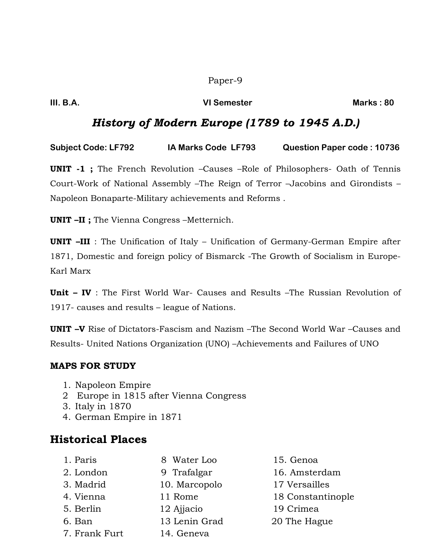#### **III. B.A.** Marks : 80

# *History of Modern Europe (1789 to 1945 A.D.)*

**Subject Code: LF792 IA Marks Code LF793 Question Paper code : 10736**

**UNIT -1 ;** The French Revolution –Causes –Role of Philosophers- Oath of Tennis Court-Work of National Assembly –The Reign of Terror –Jacobins and Girondists – Napoleon Bonaparte-Military achievements and Reforms .

**UNIT –II ;** The Vienna Congress –Metternich.

**UNIT –III** : The Unification of Italy – Unification of Germany-German Empire after 1871, Domestic and foreign policy of Bismarck -The Growth of Socialism in Europe-Karl Marx

**Unit – IV** : The First World War- Causes and Results –The Russian Revolution of 1917- causes and results – league of Nations.

**UNIT –V** Rise of Dictators-Fascism and Nazism –The Second World War –Causes and Results- United Nations Organization (UNO) –Achievements and Failures of UNO

#### **MAPS FOR STUDY**

- 1. Napoleon Empire
- 2 Europe in 1815 after Vienna Congress
- 3. Italy in 1870
- 4. German Empire in 1871

- 1. Paris 8 Water Loo 15. Genoa
	-
- 2. London 9 Trafalgar 16. Amsterdam
- 3. Madrid 10. Marcopolo 17 Versailles
- 4. Vienna 11 Rome 18 Constantinople
- 5. Berlin 12 Ajjacio 19 Crimea
- 6. Ban 13 Lenin Grad 20 The Hague
- 7. Frank Furt 14. Geneva
- 
- 
- 
- 
- 
-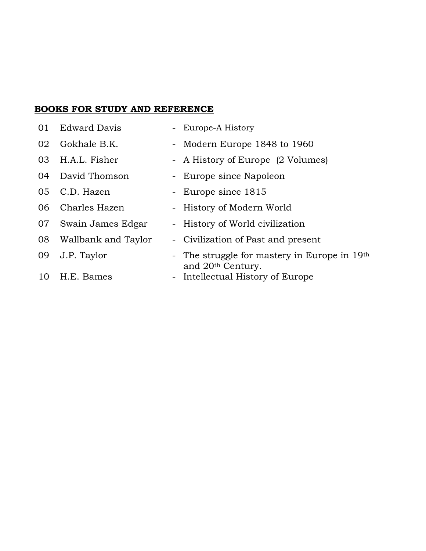| 01 | <b>Edward Davis</b> | - Europe-A History                                                            |
|----|---------------------|-------------------------------------------------------------------------------|
| 02 | Gokhale B.K.        | - Modern Europe 1848 to 1960                                                  |
| 03 | H.A.L. Fisher       | - A History of Europe (2 Volumes)                                             |
| 04 | David Thomson       | - Europe since Napoleon                                                       |
| 05 | C.D. Hazen          | - Europe since 1815                                                           |
| 06 | Charles Hazen       | - History of Modern World                                                     |
| 07 | Swain James Edgar   | - History of World civilization                                               |
| 08 | Wallbank and Taylor | - Civilization of Past and present                                            |
| 09 | J.P. Taylor         | - The struggle for mastery in Europe in 19th<br>and 20 <sup>th</sup> Century. |
| 10 | H.E. Bames          | - Intellectual History of Europe                                              |
|    |                     |                                                                               |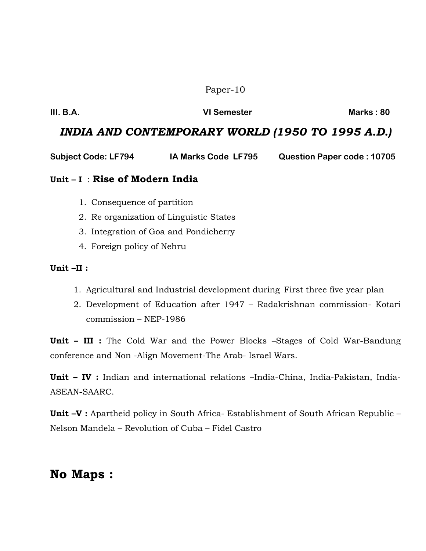| III. B.A.                      | <b>VI Semester</b>  | Marks: 80                                        |  |  |  |
|--------------------------------|---------------------|--------------------------------------------------|--|--|--|
|                                |                     | INDIA AND CONTEMPORARY WORLD (1950 TO 1995 A.D.) |  |  |  |
| <b>Subject Code: LF794</b>     | IA Marks Code LF795 | Question Paper code: 10705                       |  |  |  |
| Unit - I: Rise of Modern India |                     |                                                  |  |  |  |

- 1. Consequence of partition
- 2. Re organization of Linguistic States
- 3. Integration of Goa and Pondicherry
- 4. Foreign policy of Nehru

#### **Unit –II :**

- 1. Agricultural and Industrial development during First three five year plan
- 2. Development of Education after 1947 Radakrishnan commission- Kotari commission – NEP-1986

**Unit – III :** The Cold War and the Power Blocks –Stages of Cold War-Bandung conference and Non -Align Movement-The Arab- Israel Wars.

**Unit – IV :** Indian and international relations –India-China, India-Pakistan, India-ASEAN-SAARC.

**Unit –V :** Apartheid policy in South Africa- Establishment of South African Republic – Nelson Mandela – Revolution of Cuba – Fidel Castro

# **No Maps :**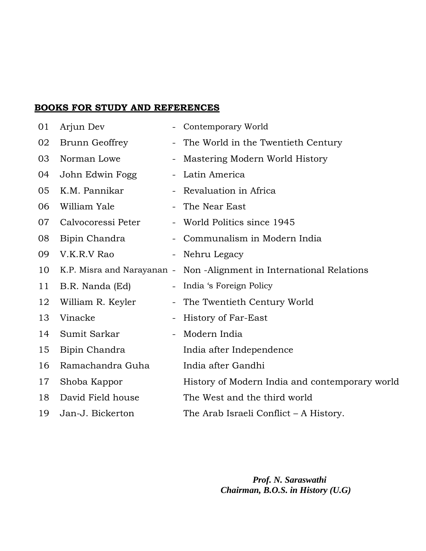| 01 | Arjun Dev          | $\overline{\phantom{0}}$ | Contemporary World                                                   |
|----|--------------------|--------------------------|----------------------------------------------------------------------|
| 02 | Brunn Geoffrey     |                          | - The World in the Twentieth Century                                 |
| 03 | Norman Lowe        | -                        | Mastering Modern World History                                       |
| 04 | John Edwin Fogg    | -                        | Latin America                                                        |
| 05 | K.M. Pannikar      |                          | Revaluation in Africa                                                |
| 06 | William Yale       |                          | - The Near East                                                      |
| 07 | Calvocoressi Peter |                          | - World Politics since 1945                                          |
| 08 | Bipin Chandra      | $\overline{\phantom{0}}$ | Communalism in Modern India                                          |
| 09 | V.K.R.V Rao        | $\overline{\phantom{a}}$ | Nehru Legacy                                                         |
| 10 |                    |                          | K.P. Misra and Narayanan - Non -Alignment in International Relations |
| 11 | B.R. Nanda (Ed)    |                          | India 's Foreign Policy                                              |
| 12 | William R. Keyler  |                          | - The Twentieth Century World                                        |
| 13 | Vinacke            | $\qquad \qquad -$        | History of Far-East                                                  |
| 14 | Sumit Sarkar       | $\overline{\phantom{a}}$ | Modern India                                                         |
| 15 | Bipin Chandra      |                          | India after Independence                                             |
| 16 | Ramachandra Guha   |                          | India after Gandhi                                                   |
| 17 | Shoba Kappor       |                          | History of Modern India and contemporary world                       |
| 18 | David Field house  |                          | The West and the third world                                         |
| 19 | Jan-J. Bickerton   |                          | The Arab Israeli Conflict – A History.                               |

*Prof. N. Saraswathi Chairman, B.O.S. in History (U.G)*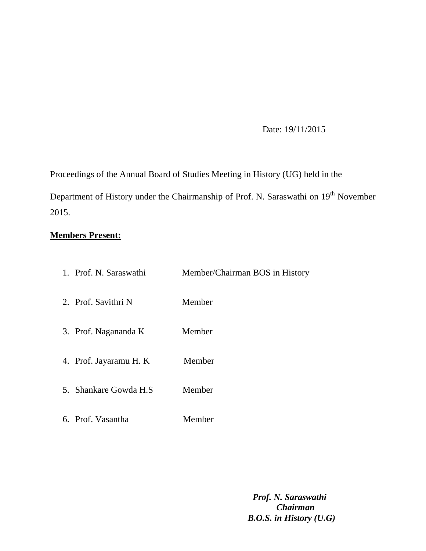Date: 19/11/2015

Proceedings of the Annual Board of Studies Meeting in History (UG) held in the

Department of History under the Chairmanship of Prof. N. Saraswathi on 19<sup>th</sup> November 2015.

# **Members Present:**

| 1. Prof. N. Saraswathi | Member/Chairman BOS in History |
|------------------------|--------------------------------|
| 2. Prof. Savithri N    | Member                         |
| 3. Prof. Nagananda K   | Member                         |
| 4. Prof. Jayaramu H. K | Member                         |
| 5. Shankare Gowda H.S  | Member                         |
| 6. Prof. Vasantha      | Member                         |

 *Prof. N. Saraswathi Chairman B.O.S. in History (U.G)*